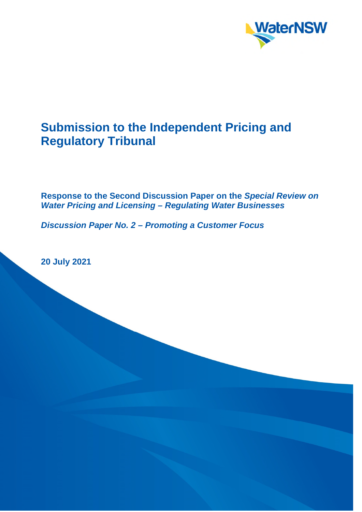

# **Submission to the Independent Pricing and Regulatory Tribunal**

**Response to the Second Discussion Paper on the** *Special Review on Water Pricing and Licensing – Regulating Water Businesses* 

*Discussion Paper No. 2 – Promoting a Customer Focus*

**20 July 2021**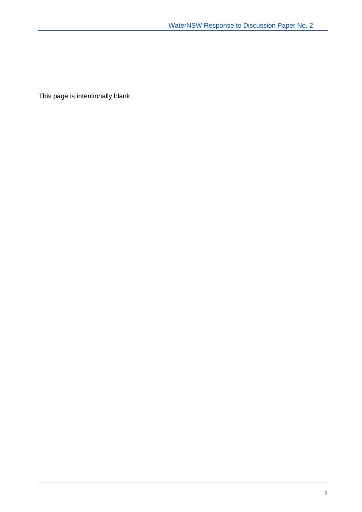This page is intentionally blank.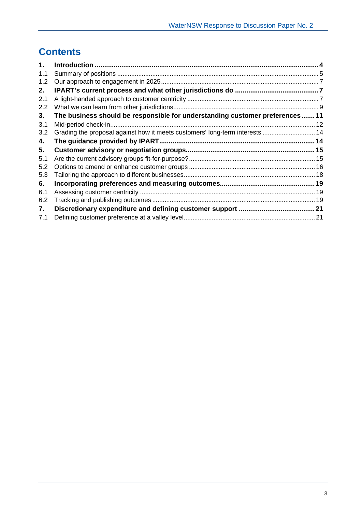# **Contents**

| 1.  |                                                                              |  |  |
|-----|------------------------------------------------------------------------------|--|--|
| 1.1 |                                                                              |  |  |
| 1.2 |                                                                              |  |  |
| 2.  |                                                                              |  |  |
| 2.1 |                                                                              |  |  |
| 2.2 |                                                                              |  |  |
| 3.  | The business should be responsible for understanding customer preferences11  |  |  |
| 3.1 | Mid-period check-in.                                                         |  |  |
| 3.2 | Grading the proposal against how it meets customers' long-term interests  14 |  |  |
| 4.  |                                                                              |  |  |
| 5.  |                                                                              |  |  |
| 5.1 |                                                                              |  |  |
| 5.2 |                                                                              |  |  |
| 5.3 |                                                                              |  |  |
| 6.  |                                                                              |  |  |
| 6.1 |                                                                              |  |  |
| 6.2 |                                                                              |  |  |
| 7.  |                                                                              |  |  |
| 7.1 |                                                                              |  |  |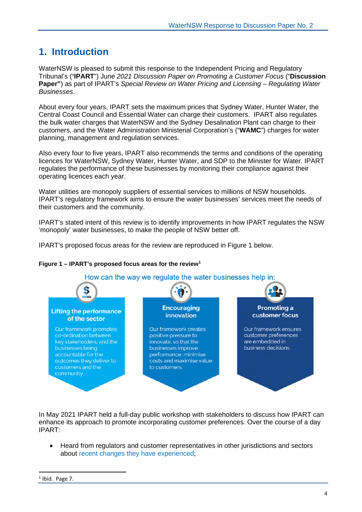## **1. Introduction**

WaterNSW is pleased to submit this response to the Independent Pricing and Regulatory Tribunal's ("**IPART**") June *2021 Discussion Paper on Promoting a Customer Focus* ("**Discussion Paper"**) as part of IPART's *Special Review on Water Pricing and Licensing – Regulating Water Businesses*.

About every four years, IPART sets the maximum prices that Sydney Water, Hunter Water, the Central Coast Council and Essential Water can charge their customers. IPART also regulates the bulk water charges that WaterNSW and the Sydney Desalination Plant can charge to their customers, and the Water Administration Ministerial Corporation's ("**WAMC**") charges for water planning, management and regulation services.

Also every four to five years, IPART also recommends the terms and conditions of the operating licences for WaterNSW, Sydney Water, Hunter Water, and SDP to the Minister for Water. IPART regulates the performance of these businesses by monitoring their compliance against their operating licences each year.

Water utilities are monopoly suppliers of essential services to millions of NSW households. IPART's regulatory framework aims to ensure the water businesses' services meet the needs of their customers and the community.

IPART's stated intent of this review is to identify improvements in how IPART regulates the NSW 'monopoly' water businesses, to make the people of NSW better off.

IPART's proposed focus areas for the review are reproduced in Figure 1 below.



#### **Figure 1 – IPART's proposed focus areas for the review<sup>1</sup>**

In May 2021 IPART held a full-day public workshop with stakeholders to discuss how IPART can enhance its approach to promote incorporating customer preferences. Over the course of a day IPART:

 Heard from regulators and customer representatives in other jurisdictions and sectors about recent changes they have experienced;

 $1$  Ibid. Page 7.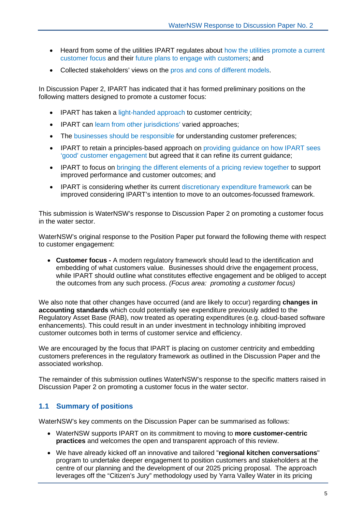- Heard from some of the utilities IPART regulates about how the utilities promote a current customer focus and their future plans to engage with customers; and
- Collected stakeholders' views on the pros and cons of different models.

In Discussion Paper 2, IPART has indicated that it has formed preliminary positions on the following matters designed to promote a customer focus:

- IPART has taken a light-handed approach to customer centricity;
- IPART can learn from other jurisdictions' varied approaches;
- The businesses should be responsible for understanding customer preferences;
- IPART to retain a principles-based approach on providing quidance on how IPART sees 'good' customer engagement but agreed that it can refine its current guidance;
- IPART to focus on bringing the different elements of a pricing review together to support improved performance and customer outcomes; and
- IPART is considering whether its current discretionary expenditure framework can be improved considering IPART's intention to move to an outcomes-focussed framework.

This submission is WaterNSW's response to Discussion Paper 2 on promoting a customer focus in the water sector.

WaterNSW's original response to the Position Paper put forward the following theme with respect to customer engagement:

 **Customer focus -** A modern regulatory framework should lead to the identification and embedding of what customers value. Businesses should drive the engagement process, while IPART should outline what constitutes effective engagement and be obliged to accept the outcomes from any such process. *(Focus area: promoting a customer focus)*

We also note that other changes have occurred (and are likely to occur) regarding **changes in accounting standards** which could potentially see expenditure previously added to the Regulatory Asset Base (RAB), now treated as operating expenditures (e.g. cloud-based software enhancements). This could result in an under investment in technology inhibiting improved customer outcomes both in terms of customer service and efficiency.

We are encouraged by the focus that IPART is placing on customer centricity and embedding customers preferences in the regulatory framework as outlined in the Discussion Paper and the associated workshop.

The remainder of this submission outlines WaterNSW's response to the specific matters raised in Discussion Paper 2 on promoting a customer focus in the water sector.

#### **1.1 Summary of positions**

WaterNSW's key comments on the Discussion Paper can be summarised as follows:

- WaterNSW supports IPART on its commitment to moving to **more customer-centric practices** and welcomes the open and transparent approach of this review.
- We have already kicked off an innovative and tailored "**regional kitchen conversations**" program to undertake deeper engagement to position customers and stakeholders at the centre of our planning and the development of our 2025 pricing proposal. The approach leverages off the "Citizen's Jury" methodology used by Yarra Valley Water in its pricing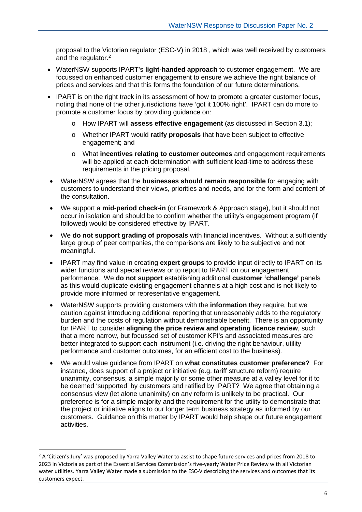proposal to the Victorian regulator (ESC-V) in 2018 , which was well received by customers and the regulator.<sup>2</sup>

- WaterNSW supports IPART's **light-handed approach** to customer engagement. We are focussed on enhanced customer engagement to ensure we achieve the right balance of prices and services and that this forms the foundation of our future determinations.
- IPART is on the right track in its assessment of how to promote a greater customer focus, noting that none of the other jurisdictions have 'got it 100% right'. IPART can do more to promote a customer focus by providing guidance on:
	- o How IPART will **assess effective engagement** (as discussed in Section 3.1);
	- o Whether IPART would **ratify proposals** that have been subject to effective engagement; and
	- o What **incentives relating to customer outcomes** and engagement requirements will be applied at each determination with sufficient lead-time to address these requirements in the pricing proposal.
- WaterNSW agrees that the **businesses should remain responsible** for engaging with customers to understand their views, priorities and needs, and for the form and content of the consultation.
- We support a **mid-period check-in** (or Framework & Approach stage), but it should not occur in isolation and should be to confirm whether the utility's engagement program (if followed) would be considered effective by IPART.
- We **do not support grading of proposals** with financial incentives. Without a sufficiently large group of peer companies, the comparisons are likely to be subjective and not meaningful.
- IPART may find value in creating **expert groups** to provide input directly to IPART on its wider functions and special reviews or to report to IPART on our engagement performance. We **do not support** establishing additional **customer 'challenge'** panels as this would duplicate existing engagement channels at a high cost and is not likely to provide more informed or representative engagement.
- WaterNSW supports providing customers with the **information** they require, but we caution against introducing additional reporting that unreasonably adds to the regulatory burden and the costs of regulation without demonstrable benefit. There is an opportunity for IPART to consider **aligning the price review and operating licence review**, such that a more narrow, but focussed set of customer KPI's and associated measures are better integrated to support each instrument (i.e. driving the right behaviour, utility performance and customer outcomes, for an efficient cost to the business).
- We would value guidance from IPART on **what constitutes customer preference?** For instance, does support of a project or initiative (e.g. tariff structure reform) require unanimity, consensus, a simple majority or some other measure at a valley level for it to be deemed 'supported' by customers and ratified by IPART? We agree that obtaining a consensus view (let alone unanimity) on any reform is unlikely to be practical. Our preference is for a simple majority and the requirement for the utility to demonstrate that the project or initiative aligns to our longer term business strategy as informed by our customers. Guidance on this matter by IPART would help shape our future engagement activities.

<sup>&</sup>lt;sup>2</sup> A 'Citizen's Jury' was proposed by Yarra Valley Water to assist to shape future services and prices from 2018 to 2023 in Victoria as part of the Essential Services Commission's five-yearly Water Price Review with all Victorian water utilities. Yarra Valley Water made a submission to the ESC-V describing the services and outcomes that its customers expect.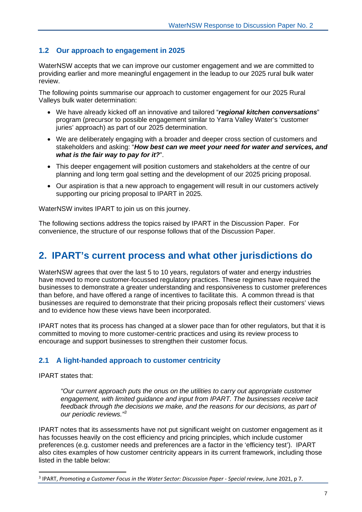#### **1.2 Our approach to engagement in 2025**

WaterNSW accepts that we can improve our customer engagement and we are committed to providing earlier and more meaningful engagement in the leadup to our 2025 rural bulk water review.

The following points summarise our approach to customer engagement for our 2025 Rural Valleys bulk water determination:

- We have already kicked off an innovative and tailored "*regional kitchen conversations*" program (precursor to possible engagement similar to Yarra Valley Water's 'customer juries' approach) as part of our 2025 determination.
- We are deliberately engaging with a broader and deeper cross section of customers and stakeholders and asking: "*How best can we meet your need for water and services, and what is the fair way to pay for it?*".
- This deeper engagement will position customers and stakeholders at the centre of our planning and long term goal setting and the development of our 2025 pricing proposal.
- Our aspiration is that a new approach to engagement will result in our customers actively supporting our pricing proposal to IPART in 2025.

WaterNSW invites IPART to join us on this journey.

The following sections address the topics raised by IPART in the Discussion Paper. For convenience, the structure of our response follows that of the Discussion Paper.

### **2. IPART's current process and what other jurisdictions do**

WaterNSW agrees that over the last 5 to 10 years, regulators of water and energy industries have moved to more customer-focussed regulatory practices. These regimes have required the businesses to demonstrate a greater understanding and responsiveness to customer preferences than before, and have offered a range of incentives to facilitate this. A common thread is that businesses are required to demonstrate that their pricing proposals reflect their customers' views and to evidence how these views have been incorporated.

IPART notes that its process has changed at a slower pace than for other regulators, but that it is committed to moving to more customer-centric practices and using its review process to encourage and support businesses to strengthen their customer focus.

#### **2.1 A light-handed approach to customer centricity**

IPART states that:

*"Our current approach puts the onus on the utilities to carry out appropriate customer engagement, with limited guidance and input from IPART. The businesses receive tacit feedback through the decisions we make, and the reasons for our decisions, as part of our periodic reviews."<sup>3</sup>*

IPART notes that its assessments have not put significant weight on customer engagement as it has focusses heavily on the cost efficiency and pricing principles, which include customer preferences (e.g. customer needs and preferences are a factor in the 'efficiency test'). IPART also cites examples of how customer centricity appears in its current framework, including those listed in the table below:

<sup>3</sup> IPART, *Promoting a Customer Focus in the Water Sector: Discussion Paper - Special review*, June 2021, p 7.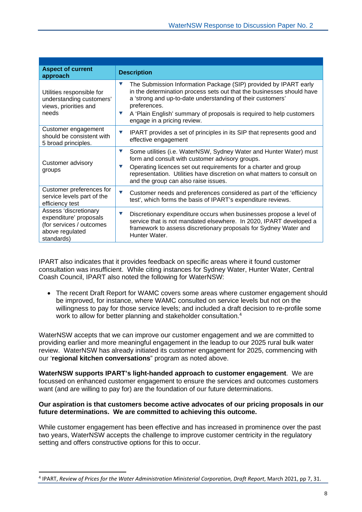| <b>Aspect of current</b><br>approach                                                                         | <b>Description</b>                                                                                                                                                                                                                                                                                                                                                             |  |  |  |
|--------------------------------------------------------------------------------------------------------------|--------------------------------------------------------------------------------------------------------------------------------------------------------------------------------------------------------------------------------------------------------------------------------------------------------------------------------------------------------------------------------|--|--|--|
| Utilities responsible for<br>understanding customers'<br>views, priorities and<br>needs                      | The Submission Information Package (SIP) provided by IPART early<br>$\blacktriangledown$<br>in the determination process sets out that the businesses should have<br>a 'strong and up-to-date understanding of their customers'<br>preferences.<br>A 'Plain English' summary of proposals is required to help customers<br>$\blacktriangledown$<br>engage in a pricing review. |  |  |  |
| Customer engagement<br>should be consistent with<br>5 broad principles.                                      | IPART provides a set of principles in its SIP that represents good and<br>$\blacktriangledown$<br>effective engagement                                                                                                                                                                                                                                                         |  |  |  |
| Customer advisory<br>groups                                                                                  | Some utilities (i.e. WaterNSW, Sydney Water and Hunter Water) must<br>$\blacktriangledown$<br>form and consult with customer advisory groups.<br>Operating licences set out requirements for a charter and group<br>$\blacktriangledown$<br>representation. Utilities have discretion on what matters to consult on<br>and the group can also raise issues.                    |  |  |  |
| Customer preferences for<br>service levels part of the<br>efficiency test                                    | $\blacktriangledown$<br>Customer needs and preferences considered as part of the 'efficiency<br>test', which forms the basis of IPART's expenditure reviews.                                                                                                                                                                                                                   |  |  |  |
| Assess 'discretionary<br>expenditure' proposals<br>(for services / outcomes<br>above regulated<br>standards) | Discretionary expenditure occurs when businesses propose a level of<br>$\bm{\nabla}$<br>service that is not mandated elsewhere. In 2020, IPART developed a<br>framework to assess discretionary proposals for Sydney Water and<br>Hunter Water.                                                                                                                                |  |  |  |

IPART also indicates that it provides feedback on specific areas where it found customer consultation was insufficient. While citing instances for Sydney Water, Hunter Water, Central Coash Council, IPART also noted the following for WaterNSW:

• The recent Draft Report for WAMC covers some areas where customer engagement should be improved, for instance, where WAMC consulted on service levels but not on the willingness to pay for those service levels; and included a draft decision to re-profile some work to allow for better planning and stakeholder consultation.<sup>4</sup>

WaterNSW accepts that we can improve our customer engagement and we are committed to providing earlier and more meaningful engagement in the leadup to our 2025 rural bulk water review. WaterNSW has already initiated its customer engagement for 2025, commencing with our '**regional kitchen conversations**" program as noted above.

**WaterNSW supports IPART's light-handed approach to customer engagement**. We are focussed on enhanced customer engagement to ensure the services and outcomes customers want (and are willing to pay for) are the foundation of our future determinations.

#### **Our aspiration is that customers become active advocates of our pricing proposals in our future determinations. We are committed to achieving this outcome.**

While customer engagement has been effective and has increased in prominence over the past two years, WaterNSW accepts the challenge to improve customer centricity in the regulatory setting and offers constructive options for this to occur.

<sup>4</sup> IPART, *Review of Prices for the Water Administration Ministerial Corporation, Draft Report*, March 2021, pp 7, 31.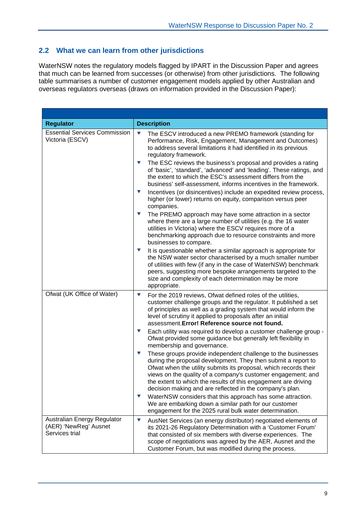#### **2.2 What we can learn from other jurisdictions**

WaterNSW notes the regulatory models flagged by IPART in the Discussion Paper and agrees that much can be learned from successes (or otherwise) from other jurisdictions. The following table summarises a number of customer engagement models applied by other Australian and overseas regulators overseas (draws on information provided in the Discussion Paper):

| <b>Regulator</b>                                                       | <b>Description</b>                                                                                                                                                                                                                                                                                                                                                                                   |  |  |  |
|------------------------------------------------------------------------|------------------------------------------------------------------------------------------------------------------------------------------------------------------------------------------------------------------------------------------------------------------------------------------------------------------------------------------------------------------------------------------------------|--|--|--|
| <b>Essential Services Commission</b><br>Victoria (ESCV)                | The ESCV introduced a new PREMO framework (standing for<br>$\blacktriangledown$<br>Performance, Risk, Engagement, Management and Outcomes)<br>to address several limitations it had identified in its previous<br>regulatory framework.                                                                                                                                                              |  |  |  |
|                                                                        | The ESC reviews the business's proposal and provides a rating<br>$\blacktriangledown$<br>of 'basic', 'standard', 'advanced' and 'leading'. These ratings, and<br>the extent to which the ESC's assessment differs from the<br>business' self-assessment, informs incentives in the framework.                                                                                                        |  |  |  |
|                                                                        | Incentives (or disincentives) include an expedited review process,<br>▼<br>higher (or lower) returns on equity, comparison versus peer<br>companies.                                                                                                                                                                                                                                                 |  |  |  |
|                                                                        | The PREMO approach may have some attraction in a sector<br>▼<br>where there are a large number of utilities (e.g. the 16 water<br>utilities in Victoria) where the ESCV requires more of a<br>benchmarking approach due to resource constraints and more<br>businesses to compare.                                                                                                                   |  |  |  |
|                                                                        | It is questionable whether a similar approach is appropriate for<br>$\blacktriangledown$<br>the NSW water sector characterised by a much smaller number<br>of utilities with few (if any in the case of WaterNSW) benchmark<br>peers, suggesting more bespoke arrangements targeted to the<br>size and complexity of each determination may be more<br>appropriate.                                  |  |  |  |
| Ofwat (UK Office of Water)                                             | $\blacktriangledown$<br>For the 2019 reviews, Ofwat defined roles of the utilities,<br>customer challenge groups and the regulator. It published a set<br>of principles as well as a grading system that would inform the<br>level of scrutiny it applied to proposals after an initial<br>assessment. Error! Reference source not found.                                                            |  |  |  |
|                                                                        | ▼<br>Each utility was required to develop a customer challenge group -<br>Ofwat provided some guidance but generally left flexibility in<br>membership and governance.                                                                                                                                                                                                                               |  |  |  |
|                                                                        | These groups provide independent challenge to the businesses<br>▼<br>during the proposal development. They then submit a report to<br>Ofwat when the utility submits its proposal, which records their<br>views on the quality of a company's customer engagement; and<br>the extent to which the results of this engagement are driving<br>decision making and are reflected in the company's plan. |  |  |  |
|                                                                        | WaterNSW considers that this approach has some attraction.<br>▼<br>We are embarking down a similar path for our customer<br>engagement for the 2025 rural bulk water determination.                                                                                                                                                                                                                  |  |  |  |
| Australian Energy Regulator<br>(AER) 'NewReg' Ausnet<br>Services trial | $\blacktriangledown$<br>AusNet Services (an energy distributor) negotiated elements of<br>its 2021-26 Regulatory Determination with a 'Customer Forum'<br>that consisted of six members with diverse experiences. The<br>scope of negotiations was agreed by the AER, Ausnet and the<br>Customer Forum, but was modified during the process.                                                         |  |  |  |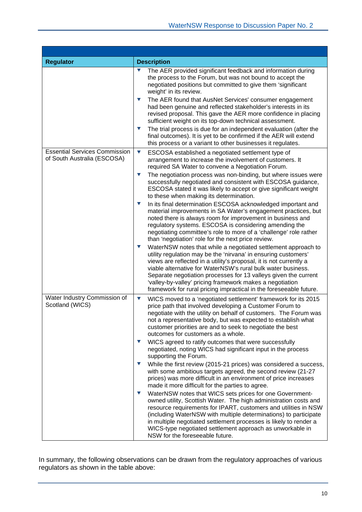| <b>Regulator</b>                                                    | <b>Description</b>                                                                                                                                                                                                                                                                                                                                                                                                                                                                                 |  |  |
|---------------------------------------------------------------------|----------------------------------------------------------------------------------------------------------------------------------------------------------------------------------------------------------------------------------------------------------------------------------------------------------------------------------------------------------------------------------------------------------------------------------------------------------------------------------------------------|--|--|
|                                                                     | The AER provided significant feedback and information during<br>$\blacktriangledown$<br>the process to the Forum, but was not bound to accept the<br>negotiated positions but committed to give them 'significant<br>weight' in its review.                                                                                                                                                                                                                                                        |  |  |
|                                                                     | The AER found that AusNet Services' consumer engagement<br>▼<br>had been genuine and reflected stakeholder's interests in its<br>revised proposal. This gave the AER more confidence in placing<br>sufficient weight on its top-down technical assessment.                                                                                                                                                                                                                                         |  |  |
|                                                                     | The trial process is due for an independent evaluation (after the<br>▼<br>final outcomes). It is yet to be confirmed if the AER will extend<br>this process or a variant to other businesses it regulates.                                                                                                                                                                                                                                                                                         |  |  |
| <b>Essential Services Commission</b><br>of South Australia (ESCOSA) | $\blacktriangledown$<br>ESCOSA established a negotiated settlement type of<br>arrangement to increase the involvement of customers. It<br>required SA Water to convene a Negotiation Forum.                                                                                                                                                                                                                                                                                                        |  |  |
|                                                                     | The negotiation process was non-binding, but where issues were<br>$\blacktriangledown$<br>successfully negotiated and consistent with ESCOSA guidance,<br>ESCOSA stated it was likely to accept or give significant weight<br>to these when making its determination.                                                                                                                                                                                                                              |  |  |
|                                                                     | In its final determination ESCOSA acknowledged important and<br>▼<br>material improvements in SA Water's engagement practices, but<br>noted there is always room for improvement in business and<br>regulatory systems. ESCOSA is considering amending the<br>negotiating committee's role to more of a 'challenge' role rather<br>than 'negotiation' role for the next price review.                                                                                                              |  |  |
|                                                                     | WaterNSW notes that while a negotiated settlement approach to<br>$\blacktriangledown$<br>utility regulation may be the 'nirvana' in ensuring customers'<br>views are reflected in a utility's proposal, it is not currently a<br>viable alternative for WaterNSW's rural bulk water business.<br>Separate negotiation processes for 13 valleys given the current<br>'valley-by-valley' pricing framework makes a negotiation<br>framework for rural pricing impractical in the foreseeable future. |  |  |
| Water Industry Commission of<br>Scotland (WICS)                     | $\blacktriangledown$<br>WICS moved to a 'negotiated settlement' framework for its 2015<br>price path that involved developing a Customer Forum to<br>negotiate with the utility on behalf of customers. The Forum was<br>not a representative body, but was expected to establish what<br>customer priorities are and to seek to negotiate the best<br>outcomes for customers as a whole.                                                                                                          |  |  |
|                                                                     | WICS agreed to ratify outcomes that were successfully<br>$\blacktriangledown$<br>negotiated, noting WICS had significant input in the process<br>supporting the Forum.                                                                                                                                                                                                                                                                                                                             |  |  |
|                                                                     | While the first review (2015-21 prices) was considered a success,<br>$\blacktriangledown$<br>with some ambitious targets agreed, the second review (21-27<br>prices) was more difficult in an environment of price increases<br>made it more difficult for the parties to agree.                                                                                                                                                                                                                   |  |  |
|                                                                     | $\blacktriangledown$<br>WaterNSW notes that WICS sets prices for one Government-<br>owned utility, Scottish Water. The high administration costs and<br>resource requirements for IPART, customers and utilities in NSW<br>(including WaterNSW with multiple determinations) to participate<br>in multiple negotiated settlement processes is likely to render a<br>WICS-type negotiated settlement approach as unworkable in<br>NSW for the foreseeable future.                                   |  |  |

In summary, the following observations can be drawn from the regulatory approaches of various regulators as shown in the table above: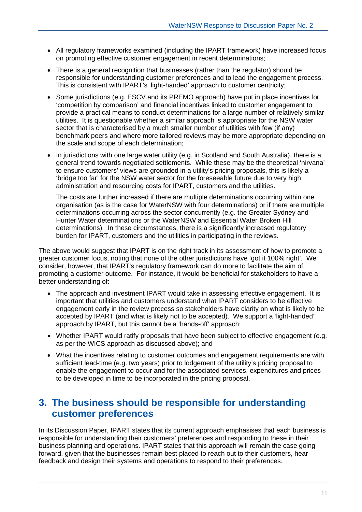- All regulatory frameworks examined (including the IPART framework) have increased focus on promoting effective customer engagement in recent determinations;
- There is a general recognition that businesses (rather than the regulator) should be responsible for understanding customer preferences and to lead the engagement process. This is consistent with IPART's 'light-handed' approach to customer centricity;
- Some jurisdictions (e.g. ESCV and its PREMO approach) have put in place incentives for 'competition by comparison' and financial incentives linked to customer engagement to provide a practical means to conduct determinations for a large number of relatively similar utilities. It is questionable whether a similar approach is appropriate for the NSW water sector that is characterised by a much smaller number of utilities with few (if any) benchmark peers and where more tailored reviews may be more appropriate depending on the scale and scope of each determination;
- In jurisdictions with one large water utility (e.g. in Scotland and South Australia), there is a general trend towards negotiated settlements. While these may be the theoretical 'nirvana' to ensure customers' views are grounded in a utility's pricing proposals, this is likely a 'bridge too far' for the NSW water sector for the foreseeable future due to very high administration and resourcing costs for IPART, customers and the utilities.

The costs are further increased if there are multiple determinations occurring within one organisation (as is the case for WaterNSW with four determinations) or if there are multiple determinations occurring across the sector concurrently (e.g. the Greater Sydney and Hunter Water determinations or the WaterNSW and Essential Water Broken Hill determinations). In these circumstances, there is a significantly increased regulatory burden for IPART, customers and the utilities in participating in the reviews.

The above would suggest that IPART is on the right track in its assessment of how to promote a greater customer focus, noting that none of the other jurisdictions have 'got it 100% right'. We consider, however, that IPART's regulatory framework can do more to facilitate the aim of promoting a customer outcome. For instance, it would be beneficial for stakeholders to have a better understanding of:

- The approach and investment IPART would take in assessing effective engagement. It is important that utilities and customers understand what IPART considers to be effective engagement early in the review process so stakeholders have clarity on what is likely to be accepted by IPART (and what is likely not to be accepted). We support a 'light-handed' approach by IPART, but this cannot be a 'hands-off' approach;
- Whether IPART would ratify proposals that have been subject to effective engagement (e.g. as per the WICS approach as discussed above); and
- What the incentives relating to customer outcomes and engagement requirements are with sufficient lead-time (e.g. two years) prior to lodgement of the utility's pricing proposal to enable the engagement to occur and for the associated services, expenditures and prices to be developed in time to be incorporated in the pricing proposal.

### **3. The business should be responsible for understanding customer preferences**

In its Discussion Paper, IPART states that its current approach emphasises that each business is responsible for understanding their customers' preferences and responding to these in their business planning and operations. IPART states that this approach will remain the case going forward, given that the businesses remain best placed to reach out to their customers, hear feedback and design their systems and operations to respond to their preferences.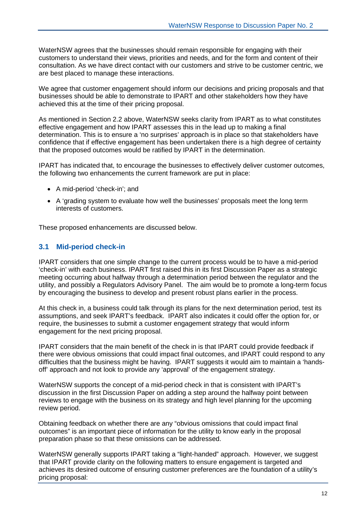WaterNSW agrees that the businesses should remain responsible for engaging with their customers to understand their views, priorities and needs, and for the form and content of their consultation. As we have direct contact with our customers and strive to be customer centric, we are best placed to manage these interactions.

We agree that customer engagement should inform our decisions and pricing proposals and that businesses should be able to demonstrate to IPART and other stakeholders how they have achieved this at the time of their pricing proposal.

As mentioned in Section 2.2 above, WaterNSW seeks clarity from IPART as to what constitutes effective engagement and how IPART assesses this in the lead up to making a final determination. This is to ensure a 'no surprises' approach is in place so that stakeholders have confidence that if effective engagement has been undertaken there is a high degree of certainty that the proposed outcomes would be ratified by IPART in the determination.

IPART has indicated that, to encourage the businesses to effectively deliver customer outcomes, the following two enhancements the current framework are put in place:

- A mid-period 'check-in'; and
- A 'grading system to evaluate how well the businesses' proposals meet the long term interests of customers.

These proposed enhancements are discussed below.

#### **3.1 Mid-period check-in**

IPART considers that one simple change to the current process would be to have a mid-period 'check-in' with each business. IPART first raised this in its first Discussion Paper as a strategic meeting occurring about halfway through a determination period between the regulator and the utility, and possibly a Regulators Advisory Panel. The aim would be to promote a long-term focus by encouraging the business to develop and present robust plans earlier in the process.

At this check in, a business could talk through its plans for the next determination period, test its assumptions, and seek IPART's feedback. IPART also indicates it could offer the option for, or require, the businesses to submit a customer engagement strategy that would inform engagement for the next pricing proposal.

IPART considers that the main benefit of the check in is that IPART could provide feedback if there were obvious omissions that could impact final outcomes, and IPART could respond to any difficulties that the business might be having. IPART suggests it would aim to maintain a 'handsoff' approach and not look to provide any 'approval' of the engagement strategy.

WaterNSW supports the concept of a mid-period check in that is consistent with IPART's discussion in the first Discussion Paper on adding a step around the halfway point between reviews to engage with the business on its strategy and high level planning for the upcoming review period.

Obtaining feedback on whether there are any "obvious omissions that could impact final outcomes" is an important piece of information for the utility to know early in the proposal preparation phase so that these omissions can be addressed.

WaterNSW generally supports IPART taking a "light-handed" approach. However, we suggest that IPART provide clarity on the following matters to ensure engagement is targeted and achieves its desired outcome of ensuring customer preferences are the foundation of a utility's pricing proposal: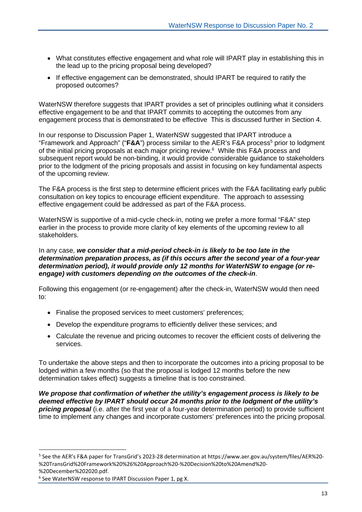- What constitutes effective engagement and what role will IPART play in establishing this in the lead up to the pricing proposal being developed?
- If effective engagement can be demonstrated, should IPART be required to ratify the proposed outcomes?

WaterNSW therefore suggests that IPART provides a set of principles outlining what it considers effective engagement to be and that IPART commits to accepting the outcomes from any engagement process that is demonstrated to be effective This is discussed further in Section 4.

In our response to Discussion Paper 1, WaterNSW suggested that IPART introduce a "Framework and Approach" ("**F&A**") process similar to the AER's F&A process<sup>5</sup> prior to lodgment of the initial pricing proposals at each major pricing review.<sup>6</sup> While this F&A process and subsequent report would be non-binding, it would provide considerable guidance to stakeholders prior to the lodgment of the pricing proposals and assist in focusing on key fundamental aspects of the upcoming review.

The F&A process is the first step to determine efficient prices with the F&A facilitating early public consultation on key topics to encourage efficient expenditure. The approach to assessing effective engagement could be addressed as part of the F&A process.

WaterNSW is supportive of a mid-cycle check-in, noting we prefer a more formal "F&A" step earlier in the process to provide more clarity of key elements of the upcoming review to all stakeholders.

In any case, *we consider that a mid-period check-in is likely to be too late in the determination preparation process, as (if this occurs after the second year of a four-year determination period), it would provide only 12 months for WaterNSW to engage (or reengage) with customers depending on the outcomes of the check-in*.

Following this engagement (or re-engagement) after the check-in, WaterNSW would then need to:

- Finalise the proposed services to meet customers' preferences;
- Develop the expenditure programs to efficiently deliver these services; and
- Calculate the revenue and pricing outcomes to recover the efficient costs of delivering the services.

To undertake the above steps and then to incorporate the outcomes into a pricing proposal to be lodged within a few months (so that the proposal is lodged 12 months before the new determination takes effect) suggests a timeline that is too constrained.

*We propose that confirmation of whether the utility's engagement process is likely to be deemed effective by IPART should occur 24 months prior to the lodgment of the utility's pricing proposal* (i.e. after the first year of a four-year determination period) to provide sufficient time to implement any changes and incorporate customers' preferences into the pricing proposal.

<sup>5</sup> See the AER's F&A paper for TransGrid's 2023-28 determination at https://www.aer.gov.au/system/files/AER%20- %20TransGrid%20Framework%20%26%20Approach%20-%20Decision%20to%20Amend%20- %20December%202020.pdf.

<sup>&</sup>lt;sup>6</sup> See WaterNSW response to IPART Discussion Paper 1, pg X.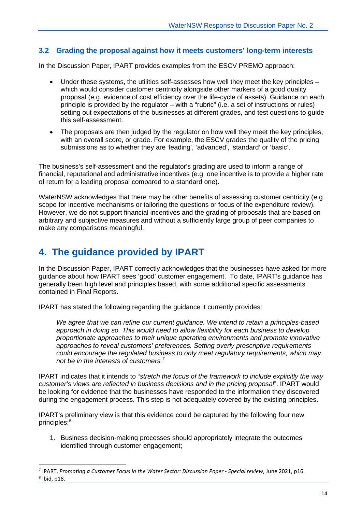#### **3.2 Grading the proposal against how it meets customers' long-term interests**

In the Discussion Paper, IPART provides examples from the ESCV PREMO approach:

- Under these systems, the utilities self-assesses how well they meet the key principles which would consider customer centricity alongside other markers of a good quality proposal (e.g. evidence of cost efficiency over the life-cycle of assets). Guidance on each principle is provided by the regulator – with a "rubric" (i.e. a set of instructions or rules) setting out expectations of the businesses at different grades, and test questions to guide this self-assessment.
- The proposals are then judged by the regulator on how well they meet the key principles, with an overall score, or grade. For example, the ESCV grades the quality of the pricing submissions as to whether they are 'leading', 'advanced', 'standard' or 'basic'.

The business's self-assessment and the regulator's grading are used to inform a range of financial, reputational and administrative incentives (e.g. one incentive is to provide a higher rate of return for a leading proposal compared to a standard one).

WaterNSW acknowledges that there may be other benefits of assessing customer centricity (e.g. scope for incentive mechanisms or tailoring the questions or focus of the expenditure review). However, we do not support financial incentives and the grading of proposals that are based on arbitrary and subjective measures and without a sufficiently large group of peer companies to make any comparisons meaningful.

### **4. The guidance provided by IPART**

In the Discussion Paper, IPART correctly acknowledges that the businesses have asked for more guidance about how IPART sees 'good' customer engagement. To date, IPART's guidance has generally been high level and principles based, with some additional specific assessments contained in Final Reports.

IPART has stated the following regarding the guidance it currently provides:

*We agree that we can refine our current guidance. We intend to retain a principles-based approach in doing so. This would need to allow flexibility for each business to develop proportionate approaches to their unique operating environments and promote innovative approaches to reveal customers' preferences. Setting overly prescriptive requirements could encourage the regulated business to only meet regulatory requirements, which may not be in the interests of customers.<sup>7</sup>*

IPART indicates that it intends to "*stretch the focus of the framework to include explicitly the way customer's views are reflected in business decisions and in the pricing proposal*". IPART would be looking for evidence that the businesses have responded to the information they discovered during the engagement process. This step is not adequately covered by the existing principles.

IPART's preliminary view is that this evidence could be captured by the following four new principles:<sup>8</sup>

1. Business decision-making processes should appropriately integrate the outcomes identified through customer engagement;

<sup>7</sup> IPART, *Promoting a Customer Focus in the Water Sector: Discussion Paper - Special review*, June 2021, p16.  $8$  Ibid, p18.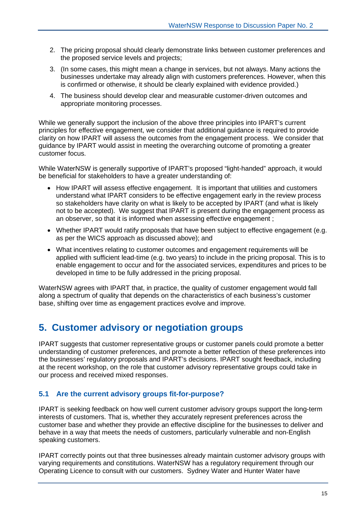- 2. The pricing proposal should clearly demonstrate links between customer preferences and the proposed service levels and projects;
- 3. (In some cases, this might mean a change in services, but not always. Many actions the businesses undertake may already align with customers preferences. However, when this is confirmed or otherwise, it should be clearly explained with evidence provided.)
- 4. The business should develop clear and measurable customer-driven outcomes and appropriate monitoring processes.

While we generally support the inclusion of the above three principles into IPART's current principles for effective engagement, we consider that additional guidance is required to provide clarity on how IPART will assess the outcomes from the engagement process. We consider that guidance by IPART would assist in meeting the overarching outcome of promoting a greater customer focus.

While WaterNSW is generally supportive of IPART's proposed "light-handed" approach, it would be beneficial for stakeholders to have a greater understanding of:

- How IPART will assess effective engagement. It is important that utilities and customers understand what IPART considers to be effective engagement early in the review process so stakeholders have clarity on what is likely to be accepted by IPART (and what is likely not to be accepted). We suggest that IPART is present during the engagement process as an observer, so that it is informed when assessing effective engagement ;
- Whether IPART would ratify proposals that have been subject to effective engagement (e.g. as per the WICS approach as discussed above); and
- What incentives relating to customer outcomes and engagement requirements will be applied with sufficient lead-time (e.g. two years) to include in the pricing proposal. This is to enable engagement to occur and for the associated services, expenditures and prices to be developed in time to be fully addressed in the pricing proposal.

WaterNSW agrees with IPART that, in practice, the quality of customer engagement would fall along a spectrum of quality that depends on the characteristics of each business's customer base, shifting over time as engagement practices evolve and improve.

### **5. Customer advisory or negotiation groups**

IPART suggests that customer representative groups or customer panels could promote a better understanding of customer preferences, and promote a better reflection of these preferences into the businesses' regulatory proposals and IPART's decisions. IPART sought feedback, including at the recent workshop, on the role that customer advisory representative groups could take in our process and received mixed responses.

#### **5.1 Are the current advisory groups fit-for-purpose?**

IPART is seeking feedback on how well current customer advisory groups support the long-term interests of customers. That is, whether they accurately represent preferences across the customer base and whether they provide an effective discipline for the businesses to deliver and behave in a way that meets the needs of customers, particularly vulnerable and non-English speaking customers.

IPART correctly points out that three businesses already maintain customer advisory groups with varying requirements and constitutions. WaterNSW has a regulatory requirement through our Operating Licence to consult with our customers. Sydney Water and Hunter Water have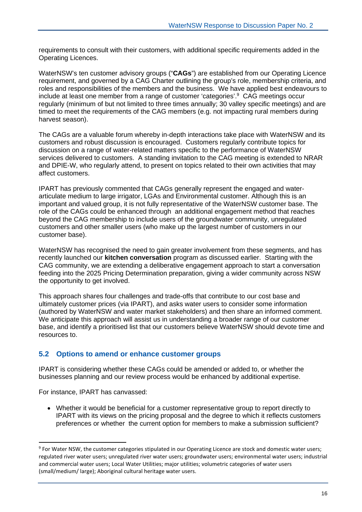requirements to consult with their customers, with additional specific requirements added in the Operating Licences.

WaterNSW's ten customer advisory groups ("**CAGs**") are established from our Operating Licence requirement, and governed by a CAG Charter outlining the group's role, membership criteria, and roles and responsibilities of the members and the business. We have applied best endeavours to include at least one member from a range of customer 'categories'.<sup>9</sup> CAG meetings occur regularly (minimum of but not limited to three times annually; 30 valley specific meetings) and are timed to meet the requirements of the CAG members (e.g. not impacting rural members during harvest season).

The CAGs are a valuable forum whereby in-depth interactions take place with WaterNSW and its customers and robust discussion is encouraged. Customers regularly contribute topics for discussion on a range of water-related matters specific to the performance of WaterNSW services delivered to customers. A standing invitation to the CAG meeting is extended to NRAR and DPIE-W, who regularly attend, to present on topics related to their own activities that may affect customers.

IPART has previously commented that CAGs generally represent the engaged and waterarticulate medium to large irrigator, LGAs and Environmental customer. Although this is an important and valued group, it is not fully representative of the WaterNSW customer base. The role of the CAGs could be enhanced through an additional engagement method that reaches beyond the CAG membership to include users of the groundwater community, unregulated customers and other smaller users (who make up the largest number of customers in our customer base).

WaterNSW has recognised the need to gain greater involvement from these segments, and has recently launched our **kitchen conversation** program as discussed earlier. Starting with the CAG community, we are extending a deliberative engagement approach to start a conversation feeding into the 2025 Pricing Determination preparation, giving a wider community across NSW the opportunity to get involved.

This approach shares four challenges and trade-offs that contribute to our cost base and ultimately customer prices (via IPART), and asks water users to consider some information (authored by WaterNSW and water market stakeholders) and then share an informed comment. We anticipate this approach will assist us in understanding a broader range of our customer base, and identify a prioritised list that our customers believe WaterNSW should devote time and resources to.

#### **5.2 Options to amend or enhance customer groups**

IPART is considering whether these CAGs could be amended or added to, or whether the businesses planning and our review process would be enhanced by additional expertise.

For instance, IPART has canvassed:

 Whether it would be beneficial for a customer representative group to report directly to IPART with its views on the pricing proposal and the degree to which it reflects customers preferences or whether the current option for members to make a submission sufficient?

<sup>&</sup>lt;sup>9</sup> For Water NSW, the customer categories stipulated in our Operating Licence are stock and domestic water users; regulated river water users; unregulated river water users; groundwater users; environmental water users; industrial and commercial water users; Local Water Utilities; major utilities; volumetric categories of water users (small/medium/ large); Aboriginal cultural heritage water users.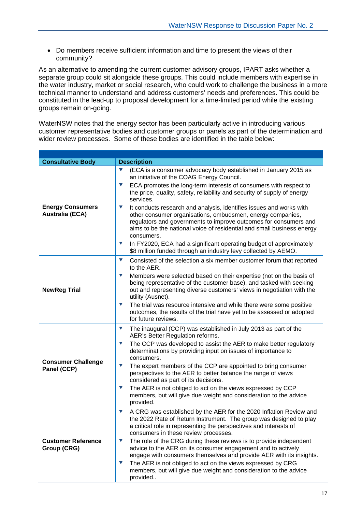Do members receive sufficient information and time to present the views of their community?

As an alternative to amending the current customer advisory groups, IPART asks whether a separate group could sit alongside these groups. This could include members with expertise in the water industry, market or social research, who could work to challenge the business in a more technical manner to understand and address customers' needs and preferences. This could be constituted in the lead-up to proposal development for a time-limited period while the existing groups remain on-going.

WaterNSW notes that the energy sector has been particularly active in introducing various customer representative bodies and customer groups or panels as part of the determination and wider review processes. Some of these bodies are identified in the table below:

| <b>Consultative Body</b>                          | <b>Description</b>                                                                                                                                                                                                                                                                                                                                                                                                                                                 |  |  |
|---------------------------------------------------|--------------------------------------------------------------------------------------------------------------------------------------------------------------------------------------------------------------------------------------------------------------------------------------------------------------------------------------------------------------------------------------------------------------------------------------------------------------------|--|--|
|                                                   | (ECA is a consumer advocacy body established in January 2015 as<br>$\blacktriangledown$<br>an initiative of the COAG Energy Council.<br>ECA promotes the long-term interests of consumers with respect to<br>$\blacktriangledown$<br>the price, quality, safety, reliability and security of supply of energy<br>services.                                                                                                                                         |  |  |
| <b>Energy Consumers</b><br><b>Australia (ECA)</b> | It conducts research and analysis, identifies issues and works with<br>$\blacktriangledown$<br>other consumer organisations, ombudsmen, energy companies,<br>regulators and governments to improve outcomes for consumers and<br>aims to be the national voice of residential and small business energy<br>consumers.<br>In FY2020, ECA had a significant operating budget of approximately<br>▼<br>\$8 million funded through an industry levy collected by AEMO. |  |  |
|                                                   | $\blacktriangledown$<br>Consisted of the selection a six member customer forum that reported<br>to the AER.                                                                                                                                                                                                                                                                                                                                                        |  |  |
| <b>NewReg Trial</b>                               | Members were selected based on their expertise (not on the basis of<br>$\blacktriangledown$<br>being representative of the customer base), and tasked with seeking<br>out and representing diverse customers' views in negotiation with the<br>utility (Ausnet).                                                                                                                                                                                                   |  |  |
|                                                   | The trial was resource intensive and while there were some positive<br>$\blacktriangledown$<br>outcomes, the results of the trial have yet to be assessed or adopted<br>for future reviews.                                                                                                                                                                                                                                                                        |  |  |
|                                                   | The inaugural (CCP) was established in July 2013 as part of the<br>$\blacktriangledown$<br>AER's Better Regulation reforms.                                                                                                                                                                                                                                                                                                                                        |  |  |
|                                                   | The CCP was developed to assist the AER to make better regulatory<br>$\blacktriangledown$<br>determinations by providing input on issues of importance to<br>consumers.                                                                                                                                                                                                                                                                                            |  |  |
| <b>Consumer Challenge</b><br>Panel (CCP)          | The expert members of the CCP are appointed to bring consumer<br>$\blacktriangledown$<br>perspectives to the AER to better balance the range of views<br>considered as part of its decisions.                                                                                                                                                                                                                                                                      |  |  |
|                                                   | The AER is not obliged to act on the views expressed by CCP<br>$\blacktriangledown$<br>members, but will give due weight and consideration to the advice<br>provided.                                                                                                                                                                                                                                                                                              |  |  |
|                                                   | A CRG was established by the AER for the 2020 Inflation Review and<br>▼<br>the 2022 Rate of Return Instrument. The group was designed to play<br>a critical role in representing the perspectives and interests of<br>consumers in these review processes.                                                                                                                                                                                                         |  |  |
| <b>Customer Reference</b><br>Group (CRG)          | The role of the CRG during these reviews is to provide independent<br>▼<br>advice to the AER on its consumer engagement and to actively<br>engage with consumers themselves and provide AER with its insights.                                                                                                                                                                                                                                                     |  |  |
|                                                   | The AER is not obliged to act on the views expressed by CRG<br>$\blacktriangledown$<br>members, but will give due weight and consideration to the advice<br>provided                                                                                                                                                                                                                                                                                               |  |  |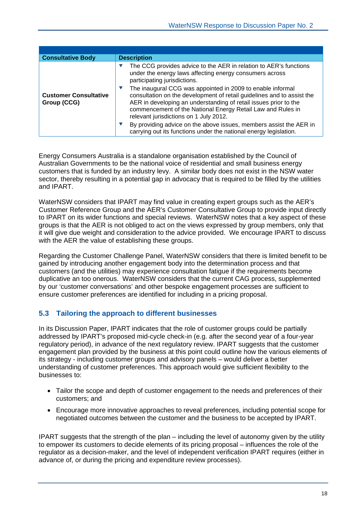| <b>Consultative Body</b>                    | <b>Description</b>                                                                                                                                                                                                                                                                                                                                                                                                                                                                                                                                                                                                           |
|---------------------------------------------|------------------------------------------------------------------------------------------------------------------------------------------------------------------------------------------------------------------------------------------------------------------------------------------------------------------------------------------------------------------------------------------------------------------------------------------------------------------------------------------------------------------------------------------------------------------------------------------------------------------------------|
| <b>Customer Consultative</b><br>Group (CCG) | The CCG provides advice to the AER in relation to AER's functions<br>under the energy laws affecting energy consumers across<br>participating jurisdictions.<br>The inaugural CCG was appointed in 2009 to enable informal<br>consultation on the development of retail guidelines and to assist the<br>AER in developing an understanding of retail issues prior to the<br>commencement of the National Energy Retail Law and Rules in<br>relevant jurisdictions on 1 July 2012.<br>By providing advice on the above issues, members assist the AER in<br>carrying out its functions under the national energy legislation. |

Energy Consumers Australia is a standalone organisation established by the Council of Australian Governments to be the national voice of residential and small business energy customers that is funded by an industry levy. A similar body does not exist in the NSW water sector, thereby resulting in a potential gap in advocacy that is required to be filled by the utilities and IPART.

WaterNSW considers that IPART may find value in creating expert groups such as the AER's Customer Reference Group and the AER's Customer Consultative Group to provide input directly to IPART on its wider functions and special reviews. WaterNSW notes that a key aspect of these groups is that the AER is not obliged to act on the views expressed by group members, only that it will give due weight and consideration to the advice provided. We encourage IPART to discuss with the AER the value of establishing these groups.

Regarding the Customer Challenge Panel, WaterNSW considers that there is limited benefit to be gained by introducing another engagement body into the determination process and that customers (and the utilities) may experience consultation fatigue if the requirements become duplicative an too onerous. WaterNSW considers that the current CAG process, supplemented by our 'customer conversations' and other bespoke engagement processes are sufficient to ensure customer preferences are identified for including in a pricing proposal.

#### **5.3 Tailoring the approach to different businesses**

In its Discussion Paper, IPART indicates that the role of customer groups could be partially addressed by IPART's proposed mid-cycle check-in (e.g. after the second year of a four-year regulatory period), in advance of the next regulatory review. IPART suggests that the customer engagement plan provided by the business at this point could outline how the various elements of its strategy - including customer groups and advisory panels – would deliver a better understanding of customer preferences. This approach would give sufficient flexibility to the businesses to:

- Tailor the scope and depth of customer engagement to the needs and preferences of their customers; and
- Encourage more innovative approaches to reveal preferences, including potential scope for negotiated outcomes between the customer and the business to be accepted by IPART.

IPART suggests that the strength of the plan – including the level of autonomy given by the utility to empower its customers to decide elements of its pricing proposal – influences the role of the regulator as a decision-maker, and the level of independent verification IPART requires (either in advance of, or during the pricing and expenditure review processes).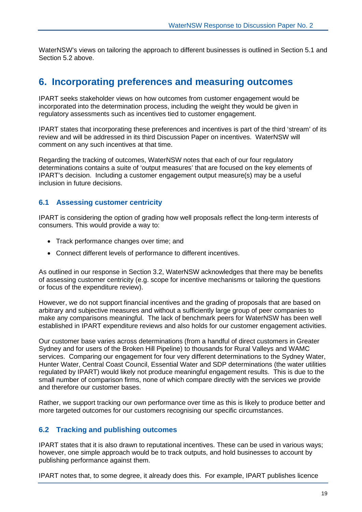WaterNSW's views on tailoring the approach to different businesses is outlined in Section 5.1 and Section 5.2 above.

### **6. Incorporating preferences and measuring outcomes**

IPART seeks stakeholder views on how outcomes from customer engagement would be incorporated into the determination process, including the weight they would be given in regulatory assessments such as incentives tied to customer engagement.

IPART states that incorporating these preferences and incentives is part of the third 'stream' of its review and will be addressed in its third Discussion Paper on incentives. WaterNSW will comment on any such incentives at that time.

Regarding the tracking of outcomes, WaterNSW notes that each of our four regulatory determinations contains a suite of 'output measures' that are focused on the key elements of IPART's decision. Including a customer engagement output measure(s) may be a useful inclusion in future decisions.

#### **6.1 Assessing customer centricity**

IPART is considering the option of grading how well proposals reflect the long-term interests of consumers. This would provide a way to:

- Track performance changes over time; and
- Connect different levels of performance to different incentives.

As outlined in our response in Section 3.2, WaterNSW acknowledges that there may be benefits of assessing customer centricity (e.g. scope for incentive mechanisms or tailoring the questions or focus of the expenditure review).

However, we do not support financial incentives and the grading of proposals that are based on arbitrary and subjective measures and without a sufficiently large group of peer companies to make any comparisons meaningful. The lack of benchmark peers for WaterNSW has been well established in IPART expenditure reviews and also holds for our customer engagement activities.

Our customer base varies across determinations (from a handful of direct customers in Greater Sydney and for users of the Broken Hill Pipeline) to thousands for Rural Valleys and WAMC services. Comparing our engagement for four very different determinations to the Sydney Water, Hunter Water, Central Coast Council, Essential Water and SDP determinations (the water utilities regulated by IPART) would likely not produce meaningful engagement results. This is due to the small number of comparison firms, none of which compare directly with the services we provide and therefore our customer bases.

Rather, we support tracking our own performance over time as this is likely to produce better and more targeted outcomes for our customers recognising our specific circumstances.

#### **6.2 Tracking and publishing outcomes**

IPART states that it is also drawn to reputational incentives. These can be used in various ways; however, one simple approach would be to track outputs, and hold businesses to account by publishing performance against them.

IPART notes that, to some degree, it already does this. For example, IPART publishes licence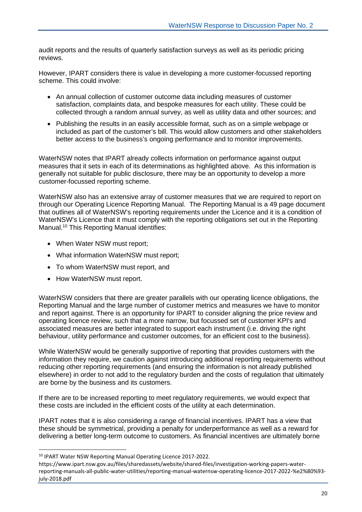audit reports and the results of quarterly satisfaction surveys as well as its periodic pricing reviews.

However, IPART considers there is value in developing a more customer-focussed reporting scheme. This could involve:

- An annual collection of customer outcome data including measures of customer satisfaction, complaints data, and bespoke measures for each utility. These could be collected through a random annual survey, as well as utility data and other sources; and
- Publishing the results in an easily accessible format, such as on a simple webpage or included as part of the customer's bill. This would allow customers and other stakeholders better access to the business's ongoing performance and to monitor improvements.

WaterNSW notes that IPART already collects information on performance against output measures that it sets in each of its determinations as highlighted above. As this information is generally not suitable for public disclosure, there may be an opportunity to develop a more customer-focussed reporting scheme.

WaterNSW also has an extensive array of customer measures that we are required to report on through our Operating Licence Reporting Manual. The Reporting Manual is a 49 page document that outlines all of WaterNSW's reporting requirements under the Licence and it is a condition of WaterNSW's Licence that it must comply with the reporting obligations set out in the Reporting Manual.<sup>10</sup> This Reporting Manual identifies:

- When Water NSW must report;
- What information WaterNSW must report;
- To whom WaterNSW must report, and
- How WaterNSW must report.

WaterNSW considers that there are greater parallels with our operating licence obligations, the Reporting Manual and the large number of customer metrics and measures we have to monitor and report against. There is an opportunity for IPART to consider aligning the price review and operating licence review, such that a more narrow, but focussed set of customer KPI's and associated measures are better integrated to support each instrument (i.e. driving the right behaviour, utility performance and customer outcomes, for an efficient cost to the business).

While WaterNSW would be generally supportive of reporting that provides customers with the information they require, we caution against introducing additional reporting requirements without reducing other reporting requirements (and ensuring the information is not already published elsewhere) in order to not add to the regulatory burden and the costs of regulation that ultimately are borne by the business and its customers.

If there are to be increased reporting to meet regulatory requirements, we would expect that these costs are included in the efficient costs of the utility at each determination.

IPART notes that it is also considering a range of financial incentives. IPART has a view that these should be symmetrical, providing a penalty for underperformance as well as a reward for delivering a better long-term outcome to customers. As financial incentives are ultimately borne

<sup>10</sup> IPART Water NSW Reporting Manual Operating Licence 2017-2022.

https://www.ipart.nsw.gov.au/files/sharedassets/website/shared-files/investigation-working-papers-waterreporting-manuals-all-public-water-utilities/reporting-manual-waternsw-operating-licence-2017-2022-%e2%80%93 july-2018.pdf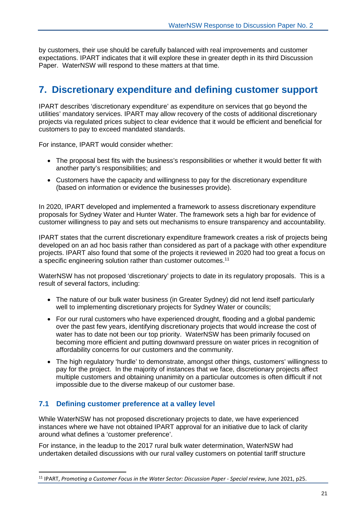by customers, their use should be carefully balanced with real improvements and customer expectations. IPART indicates that it will explore these in greater depth in its third Discussion Paper. WaterNSW will respond to these matters at that time.

### **7. Discretionary expenditure and defining customer support**

IPART describes 'discretionary expenditure' as expenditure on services that go beyond the utilities' mandatory services. IPART may allow recovery of the costs of additional discretionary projects via regulated prices subject to clear evidence that it would be efficient and beneficial for customers to pay to exceed mandated standards.

For instance, IPART would consider whether:

- The proposal best fits with the business's responsibilities or whether it would better fit with another party's responsibilities; and
- Customers have the capacity and willingness to pay for the discretionary expenditure (based on information or evidence the businesses provide).

In 2020, IPART developed and implemented a framework to assess discretionary expenditure proposals for Sydney Water and Hunter Water. The framework sets a high bar for evidence of customer willingness to pay and sets out mechanisms to ensure transparency and accountability.

IPART states that the current discretionary expenditure framework creates a risk of projects being developed on an ad hoc basis rather than considered as part of a package with other expenditure projects. IPART also found that some of the projects it reviewed in 2020 had too great a focus on a specific engineering solution rather than customer outcomes.<sup>11</sup>

WaterNSW has not proposed 'discretionary' projects to date in its regulatory proposals. This is a result of several factors, including:

- The nature of our bulk water business (in Greater Sydney) did not lend itself particularly well to implementing discretionary projects for Sydney Water or councils;
- For our rural customers who have experienced drought, flooding and a global pandemic over the past few years, identifying discretionary projects that would increase the cost of water has to date not been our top priority. WaterNSW has been primarily focused on becoming more efficient and putting downward pressure on water prices in recognition of affordability concerns for our customers and the community.
- The high regulatory 'hurdle' to demonstrate, amongst other things, customers' willingness to pay for the project. In the majority of instances that we face, discretionary projects affect multiple customers and obtaining unanimity on a particular outcomes is often difficult if not impossible due to the diverse makeup of our customer base.

#### **7.1 Defining customer preference at a valley level**

While WaterNSW has not proposed discretionary projects to date, we have experienced instances where we have not obtained IPART approval for an initiative due to lack of clarity around what defines a 'customer preference'.

For instance, in the leadup to the 2017 rural bulk water determination, WaterNSW had undertaken detailed discussions with our rural valley customers on potential tariff structure

<sup>11</sup> IPART, *Promoting a Customer Focus in the Water Sector: Discussion Paper - Special review*, June 2021, p25.